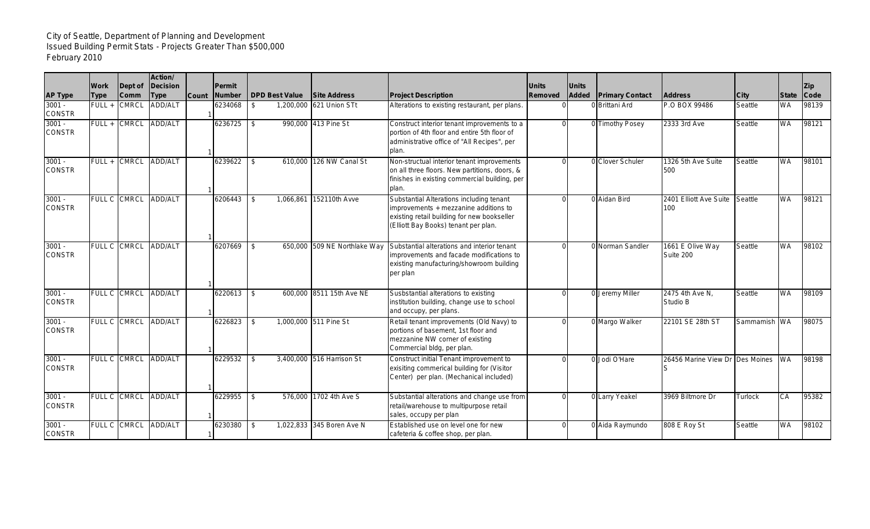## City of Seattle, Department of Planning and Development Issued Building Permit Stats - Projects Greater Than \$500,000 February 2010

|                           |             |                     | Action/              |              |               |                       |                              |                                                                                                                                                                          |              |              |                        |                                 |                |              |            |
|---------------------------|-------------|---------------------|----------------------|--------------|---------------|-----------------------|------------------------------|--------------------------------------------------------------------------------------------------------------------------------------------------------------------------|--------------|--------------|------------------------|---------------------------------|----------------|--------------|------------|
|                           | <b>Work</b> | Dept of             | Decision             |              | <b>Permit</b> |                       |                              |                                                                                                                                                                          | <b>Units</b> | <b>Units</b> |                        |                                 |                |              | <b>Zip</b> |
| <b>AP Type</b>            | <b>Type</b> | <b>Comm</b>         | <b>Type</b>          | <b>Count</b> | <b>Number</b> | <b>DPD Best Value</b> | <b>Site Address</b>          | <b>Project Description</b>                                                                                                                                               | Removed      | <b>Added</b> | <b>Primary Contact</b> | <b>Address</b>                  | <b>City</b>    | <b>State</b> | Code       |
| $3001 -$<br><b>CONSTR</b> | FULL +      | <b>CMRCL</b>        | <b>ADD/ALT</b>       |              | 6234068       | \$                    | 1,200,000 621 Union STt      | Alterations to existing restaurant, per plans.                                                                                                                           |              |              | 0 Brittani Ard         | P.O BOX 99486                   | Seattle        | <b>WA</b>    | 98139      |
| $3001 -$<br><b>CONSTR</b> |             | FULL + CMRCL        | ADD/ALT              |              | 6236725       | \$                    | 990,000 413 Pine St          | Construct interior tenant improvements to a<br>portion of 4th floor and entire 5th floor of<br>administrative office of "All Recipes", per<br>plan.                      |              |              | 0 Timothy Posey        | 2333 3rd Ave                    | Seattle        | WA           | 98121      |
| $3001 -$<br><b>CONSTR</b> |             | FULL + CMRCL        | ADD/ALT              |              | 6239622       | \$                    | 610,000 126 NW Canal St      | Non-structual interior tenant improvements<br>on all three floors. New partitions, doors, &<br>finishes in existing commercial building, per<br>plan.                    |              |              | 0 Clover Schuler       | 1326 5th Ave Suite<br>500       | Seattle        | <b>WA</b>    | 98101      |
| $3001 -$<br><b>CONSTR</b> |             | FULL C CMRCL        | ADD/ALT              |              | 6206443       | \$<br>1.066.861       | 152110th Avve                | Substantial Alterations including tenant<br>improvements + mezzanine additions to<br>existing retail building for new bookseller<br>(Elliott Bay Books) tenant per plan. |              |              | 0 Aidan Bird           | 2401 Elliott Ave Suite<br>100   | Seattle        | <b>WA</b>    | 98121      |
| $3001 -$<br><b>CONSTR</b> |             | FULL C CMRCL        | ADD/ALT              |              | 6207669       | $\mathfrak{S}$        | 650,000 509 NE Northlake Way | Substantial alterations and interior tenant<br>improvements and facade modifications to<br>existing manufacturing/showroom building<br>per plan                          |              |              | 0 Norman Sandler       | 1661 E Olive Way<br>Suite 200   | Seattle        | <b>WA</b>    | 98102      |
| $3001 -$<br><b>CONSTR</b> |             |                     | FULL C CMRCL ADD/ALT |              | 6220613       | \$                    | 600,000 8511 15th Ave NE     | Susbstantial alterations to existing<br>institution building, change use to school<br>and occupy, per plans.                                                             |              |              | 0 Jeremy Miller        | 2475 4th Ave N,<br>Studio B     | Seattle        | <b>WA</b>    | 98109      |
| $3001 -$<br><b>CONSTR</b> |             |                     | FULL C CMRCL ADD/ALT |              | 6226823       | \$                    | 1,000,000 511 Pine St        | Retail tenant improvements (Old Navy) to<br>portions of basement, 1st floor and<br>mezzanine NW corner of existing<br>Commercial bldg, per plan.                         |              |              | 0 Margo Walker         | 22101 SE 28th ST                | Sammamish WA   |              | 98075      |
| $3001 -$<br><b>CONSTR</b> |             | <b>FULL C CMRCL</b> | <b>ADD/ALT</b>       |              | 6229532       | \$                    | 3,400,000 516 Harrison St    | Construct initial Tenant improvement to<br>exisiting commerical building for (Visitor<br>Center) per plan. (Mechanical included)                                         |              |              | 0 Jodi O'Hare          | 26456 Marine View Dr Des Moines |                | <b>WA</b>    | 98198      |
| $3001 -$<br><b>CONSTR</b> |             | FULL C CMRCL        | ADD/ALT              |              | 6229955       | \$                    | 576,000 1702 4th Ave S       | Substantial alterations and change use from<br>retail/warehouse to multipurpose retail<br>sales, occupy per plan                                                         |              |              | 0 Larry Yeakel         | 3969 Biltmore Dr                | <b>Turlock</b> | CA           | 95382      |
| $3001 -$<br><b>CONSTR</b> |             | FULL C CMRCL        | ADD/ALT              |              | 6230380       | \$                    | 1.022.833 345 Boren Ave N    | Established use on level one for new<br>cafeteria & coffee shop, per plan.                                                                                               |              |              | 0 Aida Raymundo        | 808 E Roy St                    | Seattle        | <b>WA</b>    | 98102      |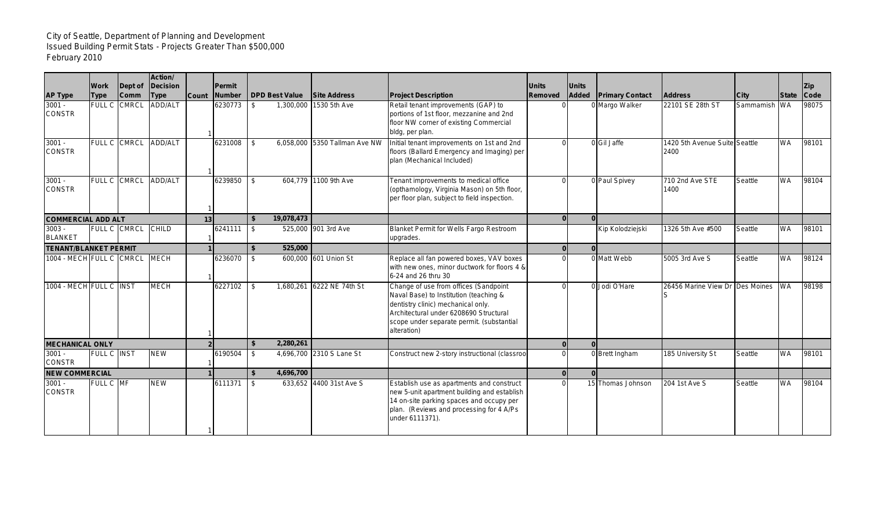## City of Seattle, Department of Planning and Development Issued Building Permit Stats - Projects Greater Than \$500,000 February 2010

| <b>AP Type</b>                  | <b>Work</b><br><b>Type</b> | Dept of<br><b>Comm</b> | Action/<br>Decision<br><b>Type</b> | <b>Count</b> | Permit<br><b>Number</b> | <b>DPD Best Value</b> | <b>Site Address</b>           | <b>Project Description</b>                                                                                                                                                                                                  | <b>Units</b><br>Removed | <b>Units</b><br>Added | <b>Primary Contact</b> | <b>Address</b>                        | <b>City</b> | <b>State</b> | IZip.<br>Code |
|---------------------------------|----------------------------|------------------------|------------------------------------|--------------|-------------------------|-----------------------|-------------------------------|-----------------------------------------------------------------------------------------------------------------------------------------------------------------------------------------------------------------------------|-------------------------|-----------------------|------------------------|---------------------------------------|-------------|--------------|---------------|
| $3001 -$<br><b>CONSTR</b>       |                            | FULL C CMRCL           | <b>ADD/ALT</b>                     |              | 6230773                 | 1,300,000<br>\$       | 1530 5th Ave                  | Retail tenant improvements (GAP) to<br>portions of 1st floor, mezzanine and 2nd<br>floor NW corner of existing Commercial<br>bldg, per plan.                                                                                |                         |                       | 0 Margo Walker         | 22101 SE 28th ST                      | Sammamish   | <b>WA</b>    | 98075         |
| $3001 -$<br><b>CONSTR</b>       |                            | FULL C CMRCL           | ADD/ALT                            |              | 6231008                 | \$                    | 6,058,000 5350 Tallman Ave NW | Initial tenant improvements on 1st and 2nd<br>floors (Ballard Emergency and Imaging) per<br>plan (Mechanical Included)                                                                                                      |                         |                       | 0 Gil Jaffe            | 1420 5th Avenue Suite Seattle<br>2400 |             | <b>WA</b>    | 98101         |
| $3001 -$<br><b>CONSTR</b>       |                            | FULL C CMRCL           | ADD/ALT                            |              | 6239850                 | \$                    | 604,779 1100 9th Ave          | Tenant improvements to medical office<br>(opthamology, Virginia Mason) on 5th floor,<br>per floor plan, subject to field inspection.                                                                                        |                         |                       | 0 Paul Spivey          | 710 2nd Ave STE<br>1400               | Seattle     | <b>WA</b>    | 98104         |
| <b>COMMERCIAL ADD ALT</b><br>13 |                            |                        |                                    |              |                         | 19,078,473            |                               |                                                                                                                                                                                                                             |                         | $\Omega$              |                        |                                       |             |              |               |
| $3003 -$<br><b>BLANKET</b>      |                            | FULL C CMRCL CHILD     |                                    |              | 6241111                 | \$                    | 525,000 901 3rd Ave           | Blanket Permit for Wells Fargo Restroom<br>upgrades.                                                                                                                                                                        |                         |                       | Kip Kolodziejski       | 1326 5th Ave #500                     | Seattle     | <b>WA</b>    | 98101         |
| <b>TENANT/BLANKET PERMIT</b>    |                            |                        |                                    |              |                         | 525,000               |                               |                                                                                                                                                                                                                             | $\Omega$                | $\Omega$              |                        |                                       |             |              |               |
| 1004 - MECH FULL C CMRCL MECH   |                            |                        |                                    |              | 6236070                 | \$                    | 600,000 601 Union St          | Replace all fan powered boxes, VAV boxes<br>with new ones, minor ductwork for floors 4 &<br>6-24 and 26 thru 30                                                                                                             |                         |                       | 0 Matt Webb            | 5005 3rd Ave S                        | Seattle     | <b>WA</b>    | 98124         |
| 1004 - MECH FULL C INST         |                            |                        | <b>MECH</b>                        |              | 6227102                 | \$                    | 1,680,261 6222 NE 74th St     | Change of use from offices (Sandpoint<br>Naval Base) to Institution (teaching &<br>dentistry clinic) mechanical only.<br>Architectural under 6208690 Structural<br>scope under separate permit. (substantial<br>alteration) |                         |                       | 0 Jodi O'Hare          | 26456 Marine View Dr Des Moines       |             | <b>WA</b>    | 98198         |
| <b>MECHANICAL ONLY</b>          |                            |                        |                                    |              |                         | 2,280,261             |                               |                                                                                                                                                                                                                             |                         |                       |                        |                                       |             |              |               |
| $3001 -$<br><b>CONSTR</b>       | FULL C INST                |                        | <b>NEW</b>                         |              | 6190504                 | \$                    | 4,696,700 2310 S Lane St      | Construct new 2-story instructional (classroor                                                                                                                                                                              |                         |                       | 0 Brett Ingham         | 185 University St                     | Seattle     | <b>WA</b>    | 98101         |
| <b>NEW COMMERCIAL</b>           |                            |                        |                                    |              |                         | 4,696,700<br>Ŝ.       |                               |                                                                                                                                                                                                                             | $\Omega$                |                       |                        |                                       |             |              |               |
| $3001 -$<br><b>CONSTR</b>       | FULL C MF                  |                        | <b>NEW</b>                         |              | 6111371                 | \$                    | 633.652 4400 31st Ave S       | Establish use as apartments and construct<br>new 5-unit apartment building and establish<br>14 on-site parking spaces and occupy per<br>plan. (Reviews and processing for 4 A/Ps<br>under 6111371).                         |                         |                       | 15 Thomas Johnson      | 204 1st Ave S                         | Seattle     | <b>WA</b>    | 98104         |